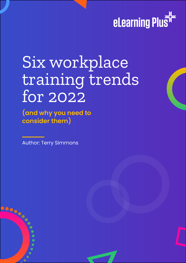

Enabling the skills needed for business success.

# Six workplace training trends for 2022

**(and why you need to consider them)**

Author: Terry Simmons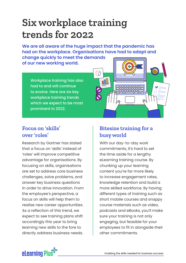## **Six workplace training trends for 2022**

**We are all aware of the huge impact that the pandemic has had on the workplace. Organisations have had to adapt and** 

**change quickly to meet the demands of our new working world.**

> Workplace training has also had to and will continue to evolve. Here are six key workplace training trends which we expect to be most prominent in 2022.



#### **Focus on 'skills' over 'roles'**

Research by Gartner has stated that a focus on 'skills' instead of 'roles' will improve competitive advantage for organisations. By focusing on skills, organisations are set to address core business challenges, solve problems, and answer key business questions in order to drive innovation. From the employee's perspective, a focus on skills will help them to realise new career opportunities. As a reflection of this trend, we expect to see training plans shift accordingly this year to bring learning new skills to the fore to directly address business needs.

#### **Bitesize training for a busy world**

With our day-to-day work commitments, it's hard to set the time aside for a lengthy eLearning training course. By chunking up your learning content you're far more likely to increase engagement rates, knowledge retention and build a more skilled workforce. By having different types of training such as short mobile courses and snappy course materials such as video, podcasts and eBooks, you'll make sure your training is not only engaging, but feasible for your employees to fit in alongside their other commitments.

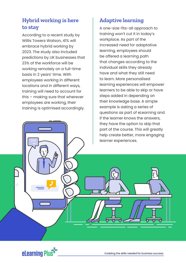#### **Hybrid working is here to stay**

According to a recent study by Willis Towers Watson, 41% will embrace hybrid working by 2023. The study also included predictions by UK businesses that 23% of the workforce will be working remotely on a full-time basis in 2 years' time. With employees working in different locations and in different ways, training will need to account for this – making sure that wherever employees are working, their training is optimised accordingly.

#### **Adaptive learning**

A one-size-fits-all approach to training won't cut it in today's workplace. As part of the increased need for adaptative learning, employees should be offered a learning path that changes according to the individual skills they already have and what they still need to learn. More personalised learning experiences will empower learners to be able to skip or have steps added in depending on their knowledge base. A simple example is asking a series of questions as part of eLearning and if the learner knows the answers, they have the option to skip that part of the course. This will greatly help create better, more engaging learner experiences.



Enabling the skills needed for business success.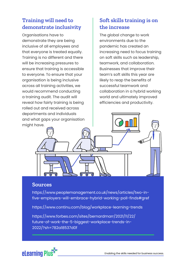#### **Training will need to demonstrate inclusivity**

Organisations have to demonstrate they are being inclusive of all employees and that everyone is treated equally. Training is no different and there will be increasing pressures to ensure that training is accessible to everyone. To ensure that your organisation is being inclusive across all training activities, we would recommend conducting a training audit. The audit will reveal how fairly training is being rolled out and received across departments and individuals and what gaps your organisation might have.

#### **Soft skills training is on the increase**

The global change to work environments due to the pandemic has created an increasing need to focus training on soft skills such as leadership, teamwork, and collaboration. Businesses that improve their team's soft skills this year are likely to reap the benefits of successful teamwork and collaboration in a hybrid working world and ultimately improved efficiencies and productivity.

#### **Sources**

https://www.peoplemanagement.co.uk/news/articles/two-infive-employers-will-embrace-hybrid-working-poll-finds#gref

https://www.continu.com/blog/workplace-learning-trends

https://www.forbes.com/sites/bernardmarr/2021/11/22/ future-of-work-the-5-biggest-workplace-trends-in-2022/?sh=782a18537d0f

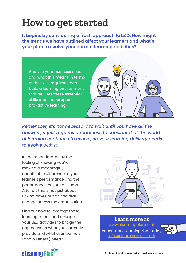### **How to get started**

**It begins by considering a fresh approach to L&D. How might the trends we have outlined affect your learners and what's your plan to evolve your current learning activities?**



*Remember, it's not necessary to wait until you have all the answers, it just requires a readiness to consider that the world of learning continues to evolve, so your learning delivery needs to evolve with it.* 

In the meantime, enjoy the feeling of knowing you're making a meaningful, quantifiable difference to your learner's performance and the performance of your business. After all, this is not just about ticking boxes but driving real change across the organisation.

Find out how to leverage these learning trends and re-align your L&D activities to bridge the gap between what you currently provide and what your learners (and business) need?



or contact eLearningPlus<sup>+</sup> today [info@elearningplus.co.uk](mailto:info%40elearningplus.co.uk?subject=) **Learn more at** [www.elearningplus.co.uk](http://www.elearningplus.co.uk)